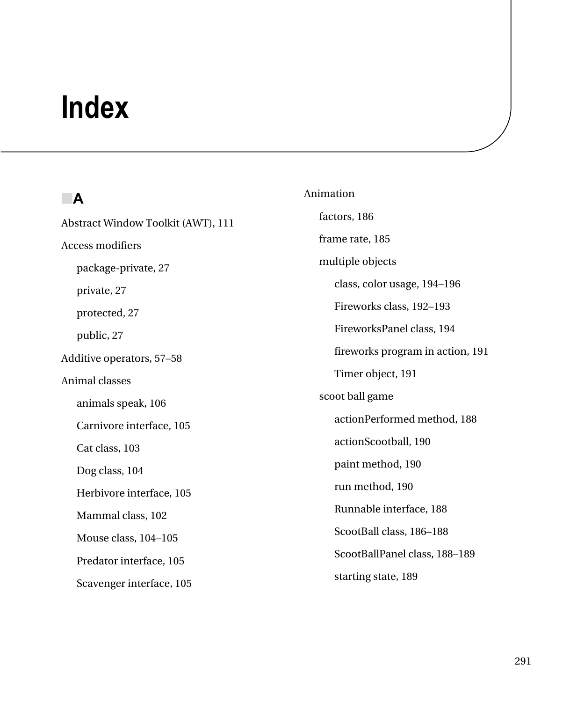# **Index**

## ■**A**

Abstract Window Toolkit (AWT), 111 Access modifiers package-private, 27 private, 27 protected, 27 public, 27 Additive operators, 57–58 Animal classes animals speak, 106 Carnivore interface, 105 Cat class, 103 Dog class, 104 Herbivore interface, 105 Mammal class, 102 Mouse class, 104–105 Predator interface, 105 Scavenger interface, 105

Animation factors, 186 frame rate, 185 multiple objects class, color usage, 194–196 Fireworks class, 192–193 FireworksPanel class, 194 fireworks program in action, 191 Timer object, 191 scoot ball game actionPerformed method, 188 actionScootball, 190 paint method, 190 run method, 190 Runnable interface, 188 ScootBall class, 186–188 ScootBallPanel class, 188–189 starting state, 189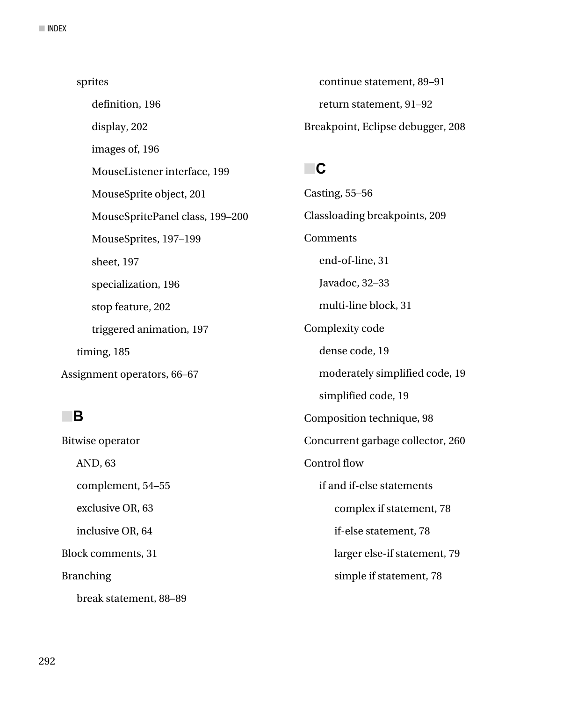sprites definition, 196 display, 202 images of, 196 MouseListener interface, 199 MouseSprite object, 201 MouseSpritePanel class, 199–200 MouseSprites, 197–199 sheet, 197 specialization, 196 stop feature, 202 triggered animation, 197 timing, 185 Assignment operators, 66–67

#### ■**B**

Bitwise operator AND, 63 complement, 54–55 exclusive OR, 63 inclusive OR, 64 Block comments, 31 Branching break statement, 88–89

continue statement, 89–91 return statement, 91–92 Breakpoint, Eclipse debugger, 208

# ■**C**

Casting, 55–56 Classloading breakpoints, 209 Comments end-of-line, 31 Javadoc, 32–33 multi-line block, 31 Complexity code dense code, 19 moderately simplified code, 19 simplified code, 19 Composition technique, 98 Concurrent garbage collector, 260 Control flow if and if-else statements complex if statement, 78 if-else statement, 78 larger else-if statement, 79 simple if statement, 78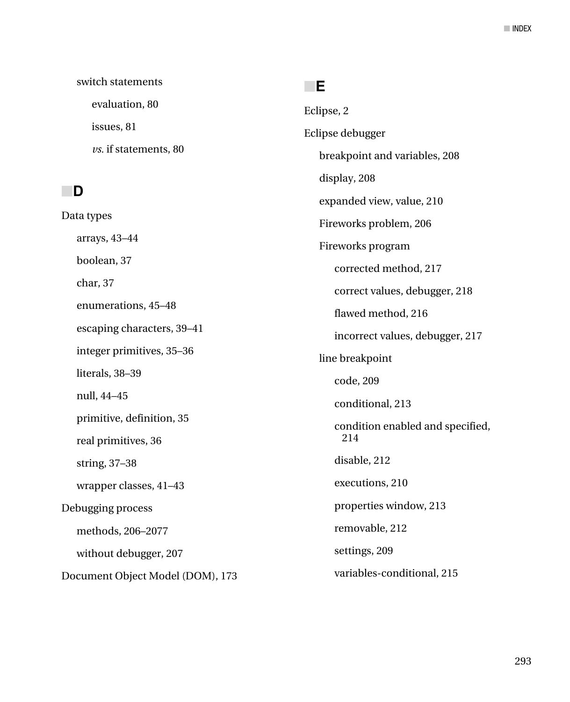switch statements evaluation, 80 issues, 81 *vs.* if statements, 80

### ■**D**

Data types arrays, 43–44 boolean, 37 char, 37 enumerations, 45–48 escaping characters, 39–41 integer primitives, 35–36 literals, 38–39 null, 44–45 primitive, definition, 35 real primitives, 36 string, 37–38 wrapper classes, 41–43 Debugging process methods, 206–2077 without debugger, 207 Document Object Model (DOM), 173

#### ■**E**

Eclipse, 2 Eclipse debugger breakpoint and variables, 208 display, 208 expanded view, value, 210 Fireworks problem, 206 Fireworks program corrected method, 217 correct values, debugger, 218 flawed method, 216 incorrect values, debugger, 217 line breakpoint code, 209 conditional, 213 condition enabled and specified, 214 disable, 212 executions, 210 properties window, 213 removable, 212 settings, 209 variables-conditional, 215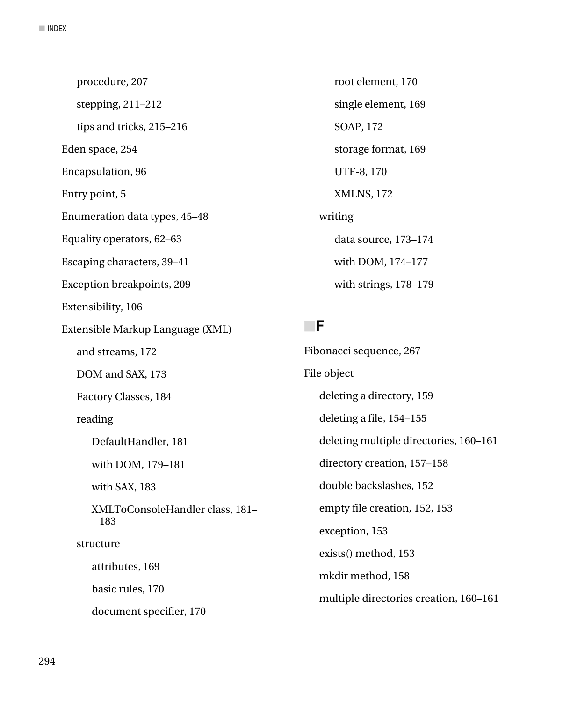procedure, 207 stepping, 211–212 tips and tricks, 215–216 Eden space, 254 Encapsulation, 96 Entry point, 5 Enumeration data types, 45–48 Equality operators, 62–63 Escaping characters, 39–41 Exception breakpoints, 209 Extensibility, 106 Extensible Markup Language (XML) and streams, 172 DOM and SAX, 173 Factory Classes, 184 reading DefaultHandler, 181 with DOM, 179–181 with SAX, 183 XMLToConsoleHandler class, 181– 183 structure attributes, 169 basic rules, 170 document specifier, 170

root element, 170 single element, 169 SOAP, 172 storage format, 169 UTF-8, 170 XMLNS, 172 writing data source, 173–174 with DOM, 174–177 with strings, 178–179

### ■**F**

Fibonacci sequence, 267 File object deleting a directory, 159 deleting a file, 154–155 deleting multiple directories, 160–161 directory creation, 157–158 double backslashes, 152 empty file creation, 152, 153 exception, 153 exists() method, 153 mkdir method, 158 multiple directories creation, 160–161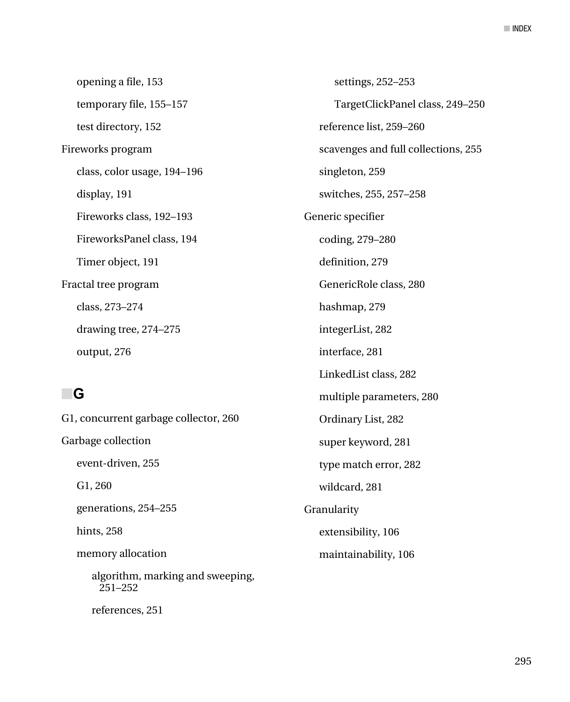opening a file, 153 temporary file, 155–157 test directory, 152 Fireworks program class, color usage, 194–196 display, 191 Fireworks class, 192–193 FireworksPanel class, 194 Timer object, 191 Fractal tree program class, 273–274 drawing tree, 274–275 output, 276

# ■**G**

G1, concurrent garbage collector, 260 Garbage collection event-driven, 255 G1, 260 generations, 254–255 hints, 258 memory allocation algorithm, marking and sweeping, 251–252 references, 251

settings, 252–253 TargetClickPanel class, 249–250 reference list, 259–260 scavenges and full collections, 255 singleton, 259 switches, 255, 257–258 Generic specifier coding, 279–280 definition, 279 GenericRole class, 280 hashmap, 279 integerList, 282 interface, 281 LinkedList class, 282 multiple parameters, 280 Ordinary List, 282 super keyword, 281 type match error, 282 wildcard, 281 Granularity extensibility, 106 maintainability, 106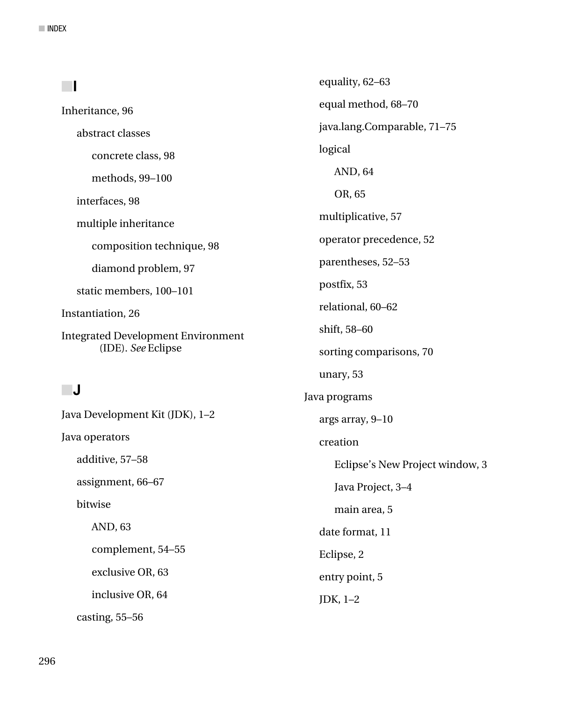|                                                                 | equality, 62-63                 |
|-----------------------------------------------------------------|---------------------------------|
| Inheritance, 96                                                 | equal method, 68-70             |
| abstract classes                                                | java.lang.Comparable, 71-75     |
| concrete class, 98                                              | logical                         |
| methods, 99-100                                                 | AND, 64                         |
| interfaces, 98                                                  | OR, 65                          |
| multiple inheritance                                            | multiplicative, 57              |
| composition technique, 98                                       | operator precedence, 52         |
| diamond problem, 97                                             | parentheses, 52-53              |
| static members, 100-101                                         | postfix, 53                     |
| Instantiation, 26                                               | relational, 60-62               |
| <b>Integrated Development Environment</b><br>(IDE). See Eclipse | shift, 58-60                    |
|                                                                 | sorting comparisons, 70         |
|                                                                 | unary, 53                       |
| ∣J                                                              | Java programs                   |
| Java Development Kit (JDK), 1-2                                 | args array, 9-10                |
| Java operators                                                  | creation                        |
| additive, 57-58                                                 | Eclipse's New Project window, 3 |
| assignment, 66-67                                               | Java Project, 3-4               |
| bitwise                                                         | main area, 5                    |
| AND, 63                                                         | date format, 11                 |
| complement, 54-55                                               | Eclipse, 2                      |
| exclusive OR, 63                                                | entry point, 5                  |
| inclusive OR, 64                                                | $INK$ 1 2                       |

casting, 55–56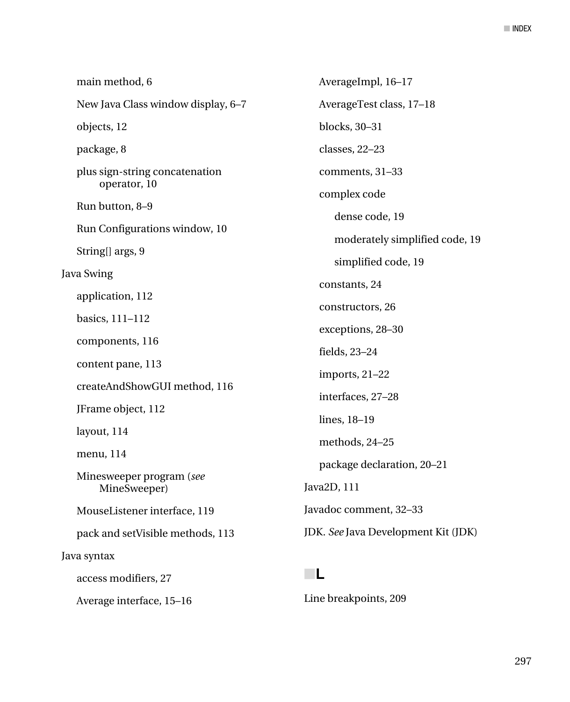| main method, 6                                 | AverageImpl, 16-17                  |
|------------------------------------------------|-------------------------------------|
| New Java Class window display, 6-7             | AverageTest class, 17-18            |
| objects, 12                                    | blocks, 30-31                       |
| package, 8                                     | classes, 22-23                      |
| plus sign-string concatenation<br>operator, 10 | comments, 31-33                     |
| Run button, 8-9                                | complex code<br>dense code, 19      |
| Run Configurations window, 10                  | moderately simplified code, 19      |
| String[] args, 9                               |                                     |
| <b>Java Swing</b>                              | simplified code, 19                 |
| application, 112                               | constants, 24                       |
|                                                | constructors, 26                    |
| basics, 111-112                                | exceptions, 28-30                   |
| components, 116                                | fields, 23-24                       |
| content pane, 113                              | imports, 21-22                      |
| createAndShowGUI method, 116                   |                                     |
| JFrame object, 112                             | interfaces, 27-28                   |
|                                                | lines, 18-19                        |
| layout, 114<br>menu, 114                       | methods, 24-25                      |
|                                                | package declaration, 20-21          |
| Minesweeper program (see<br>MineSweeper)       | Java2D, 111                         |
| MouseListener interface, 119                   | Javadoc comment, 32-33              |
| pack and setVisible methods, 113               | JDK. See Java Development Kit (JDK) |
| Java syntax                                    |                                     |
| access modifiers, 27                           | ┖                                   |

Average interface, 15–16

Line breakpoints, 209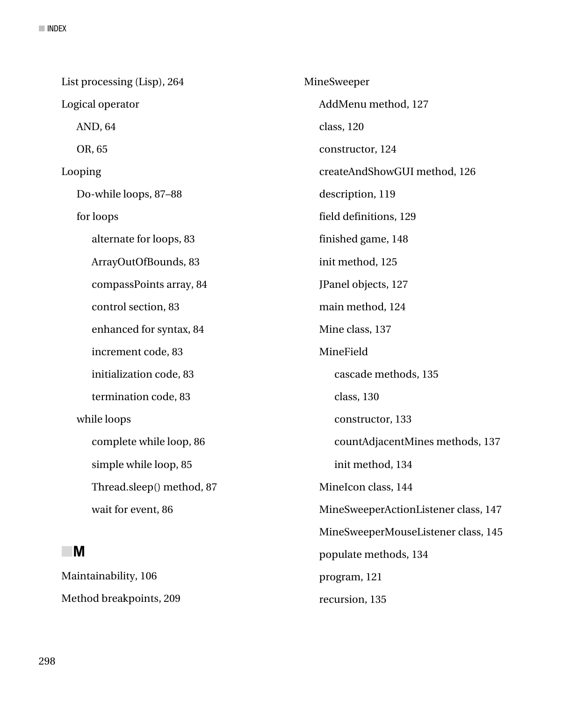| List processing (Lisp), 264 | MineSweeper                          |
|-----------------------------|--------------------------------------|
| Logical operator            | AddMenu method, 127                  |
| AND, 64                     | class, 120                           |
| OR, 65                      | constructor, 124                     |
| Looping                     | createAndShowGUI method, 126         |
| Do-while loops, 87-88       | description, 119                     |
| for loops                   | field definitions, 129               |
| alternate for loops, 83     | finished game, 148                   |
| ArrayOutOfBounds, 83        | init method, 125                     |
| compassPoints array, 84     | JPanel objects, 127                  |
| control section, 83         | main method, 124                     |
| enhanced for syntax, 84     | Mine class, 137                      |
| increment code, 83          | MineField                            |
| initialization code, 83     | cascade methods, 135                 |
| termination code, 83        | class, 130                           |
| while loops                 | constructor, 133                     |
| complete while loop, 86     | countAdjacentMines methods, 137      |
| simple while loop, 85       | init method, 134                     |
| Thread.sleep() method, 87   | MineIcon class, 144                  |
| wait for event, 86          | MineSweeperActionListener class, 147 |
|                             | MineSweeperMouseListener class, 145  |
| M                           | populate methods, 134                |
| Maintainability, 106        | program, 121                         |
| Method breakpoints, 209     | recursion, 135                       |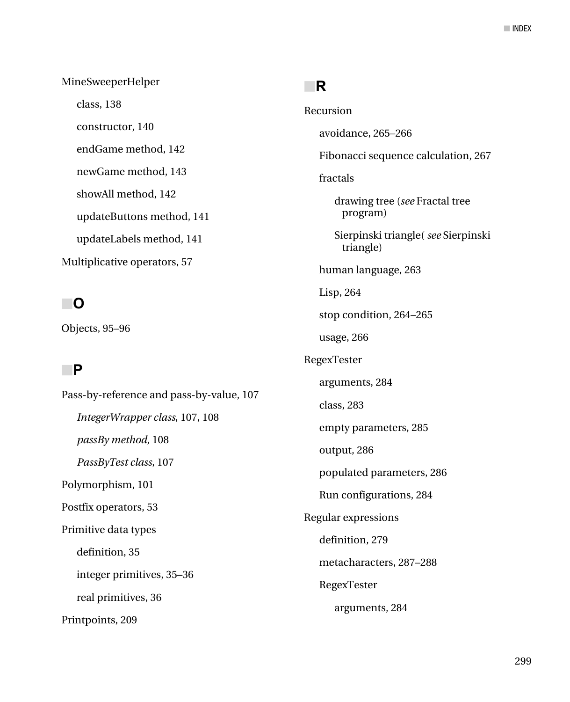MineSweeperHelper class, 138 constructor, 140 endGame method, 142 newGame method, 143 showAll method, 142 updateButtons method, 141 updateLabels method, 141 Multiplicative operators, 57

## ■**O**

Objects, 95–96

## ■**P**

Pass-by-reference and pass-by-value, 107 *IntegerWrapper class*, 107, 108 *passBy method*, 108 *PassByTest class*, 107 Polymorphism, 101 Postfix operators, 53 Primitive data types definition, 35 integer primitives, 35–36 real primitives, 36 Printpoints, 209

#### ■**R**

Recursion avoidance, 265–266 Fibonacci sequence calculation, 267 fractals drawing tree (*see* Fractal tree program) Sierpinski triangle( *see* Sierpinski triangle) human language, 263 Lisp, 264 stop condition, 264–265 usage, 266 RegexTester arguments, 284 class, 283 empty parameters, 285 output, 286 populated parameters, 286 Run configurations, 284 Regular expressions definition, 279 metacharacters, 287–288 RegexTester arguments, 284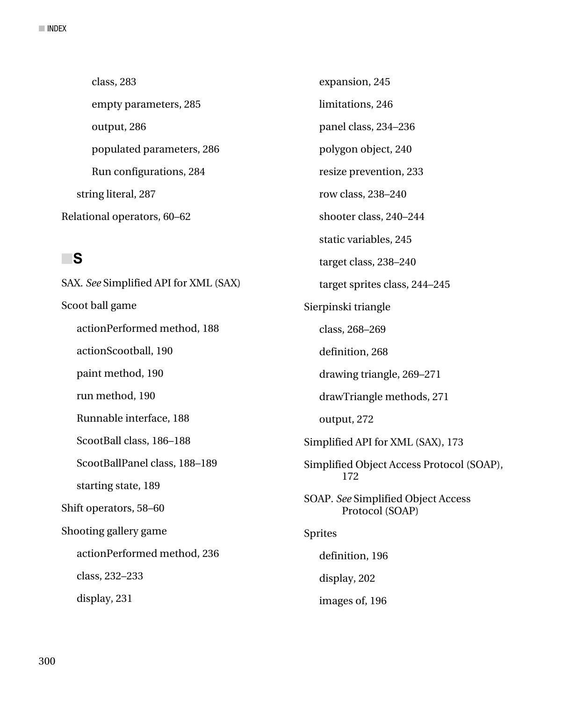class, 283 empty parameters, 285 output, 286 populated parameters, 286 Run configurations, 284 string literal, 287 Relational operators, 60–62

#### ■**S**

SAX. *See* Simplified API for XML (SAX) Scoot ball game actionPerformed method, 188 actionScootball, 190 paint method, 190 run method, 190 Runnable interface, 188 ScootBall class, 186–188 ScootBallPanel class, 188–189 starting state, 189 Shift operators, 58–60 Shooting gallery game actionPerformed method, 236 class, 232–233 display, 231

expansion, 245 limitations, 246 panel class, 234–236 polygon object, 240 resize prevention, 233 row class, 238–240 shooter class, 240–244 static variables, 245 target class, 238–240 target sprites class, 244–245 Sierpinski triangle class, 268–269 definition, 268 drawing triangle, 269–271 drawTriangle methods, 271 output, 272 Simplified API for XML (SAX), 173 Simplified Object Access Protocol (SOAP), 172 SOAP. *See* Simplified Object Access Protocol (SOAP) Sprites definition, 196 display, 202 images of, 196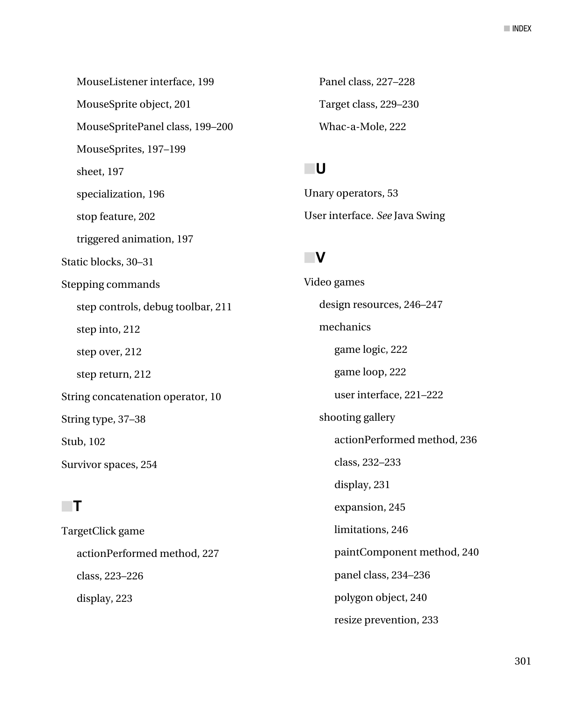MouseListener interface, 199 MouseSprite object, 201 MouseSpritePanel class, 199–200 MouseSprites, 197–199 sheet, 197 specialization, 196 stop feature, 202 triggered animation, 197 Static blocks, 30–31 Stepping commands step controls, debug toolbar, 211 step into, 212 step over, 212 step return, 212 String concatenation operator, 10 String type, 37–38 Stub, 102 Survivor spaces, 254

# ■**T**

TargetClick game actionPerformed method, 227 class, 223–226 display, 223

Panel class, 227–228 Target class, 229–230 Whac-a-Mole, 222

# ■**U**

Unary operators, 53 User interface. *See* Java Swing

# ■**V**

Video games design resources, 246–247 mechanics game logic, 222 game loop, 222 user interface, 221–222 shooting gallery actionPerformed method, 236 class, 232–233 display, 231 expansion, 245 limitations, 246 paintComponent method, 240 panel class, 234–236 polygon object, 240 resize prevention, 233